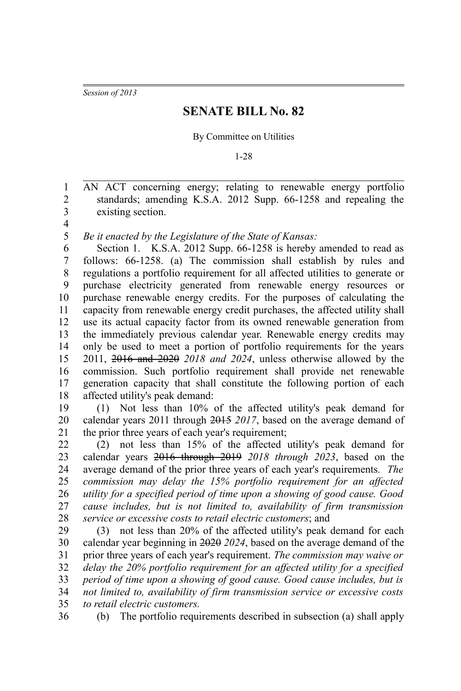*Session of 2013*

## **SENATE BILL No. 82**

## By Committee on Utilities

1-28

AN ACT concerning energy; relating to renewable energy portfolio standards; amending K.S.A. 2012 Supp. 66-1258 and repealing the existing section. 1 2 3

4

*Be it enacted by the Legislature of the State of Kansas:* 5

Section 1. K.S.A. 2012 Supp. 66-1258 is hereby amended to read as follows: 66-1258. (a) The commission shall establish by rules and regulations a portfolio requirement for all affected utilities to generate or purchase electricity generated from renewable energy resources or purchase renewable energy credits. For the purposes of calculating the capacity from renewable energy credit purchases, the affected utility shall use its actual capacity factor from its owned renewable generation from the immediately previous calendar year. Renewable energy credits may only be used to meet a portion of portfolio requirements for the years 2011, 2016 and 2020 *2018 and 2024*, unless otherwise allowed by the commission. Such portfolio requirement shall provide net renewable generation capacity that shall constitute the following portion of each affected utility's peak demand: 6 7 8 9 10 11 12 13 14 15 16 17 18

(1) Not less than 10% of the affected utility's peak demand for calendar years 2011 through 2015 *2017*, based on the average demand of the prior three years of each year's requirement; 19 20 21

(2) not less than 15% of the affected utility's peak demand for calendar years 2016 through 2019 *2018 through 2023*, based on the average demand of the prior three years of each year's requirements*. The commission may delay the 15% portfolio requirement for an affected utility for a specified period of time upon a showing of good cause. Good cause includes, but is not limited to, availability of firm transmission service or excessive costs to retail electric customers*; and 22 23 24 25 26 27 28

(3) not less than 20% of the affected utility's peak demand for each calendar year beginning in 2020 *2024*, based on the average demand of the prior three years of each year's requirement. *The commission may waive or delay the 20% portfolio requirement for an affected utility for a specified period of time upon a showing of good cause. Good cause includes, but is not limited to, availability of firm transmission service or excessive costs to retail electric customers.* 29 30 31 32 33 34 35

36

(b) The portfolio requirements described in subsection (a) shall apply